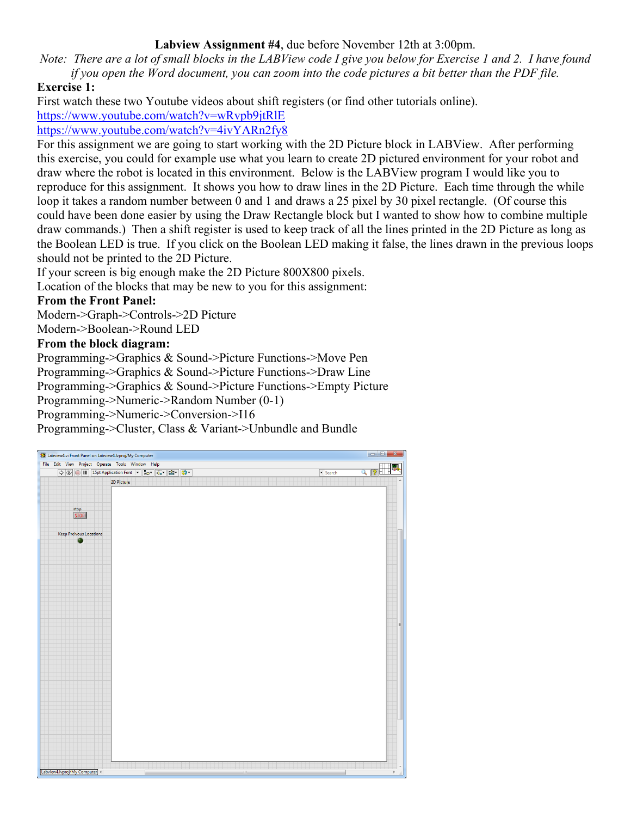### **Labview Assignment #4**, due before November 12th at 3:00pm.

*Note: There are a lot of small blocks in the LABView code I give you below for Exercise 1 and 2. I have found if you open the Word document, you can zoom into the code pictures a bit better than the PDF file.*

### **Exercise 1:**

First watch these two Youtube videos about shift registers (or find other tutorials online).

<https://www.youtube.com/watch?v=wRvpb9jtRlE>

<https://www.youtube.com/watch?v=4ivYARn2fy8>

For this assignment we are going to start working with the 2D Picture block in LABView. After performing this exercise, you could for example use what you learn to create 2D pictured environment for your robot and draw where the robot is located in this environment. Below is the LABView program I would like you to reproduce for this assignment. It shows you how to draw lines in the 2D Picture. Each time through the while loop it takes a random number between 0 and 1 and draws a 25 pixel by 30 pixel rectangle. (Of course this could have been done easier by using the Draw Rectangle block but I wanted to show how to combine multiple draw commands.) Then a shift register is used to keep track of all the lines printed in the 2D Picture as long as the Boolean LED is true. If you click on the Boolean LED making it false, the lines drawn in the previous loops should not be printed to the 2D Picture.

If your screen is big enough make the 2D Picture 800X800 pixels.

Location of the blocks that may be new to you for this assignment:

## **From the Front Panel:**

Modern->Graph->Controls->2D Picture

Modern->Boolean->Round LED

### **From the block diagram:**

Programming->Graphics & Sound->Picture Functions->Move Pen

Programming->Graphics & Sound->Picture Functions->Draw Line

Programming->Graphics & Sound->Picture Functions->Empty Picture

Programming->Numeric->Random Number (0-1)

Programming->Numeric->Conversion->I16

Programming->Cluster, Class & Variant->Unbundle and Bundle

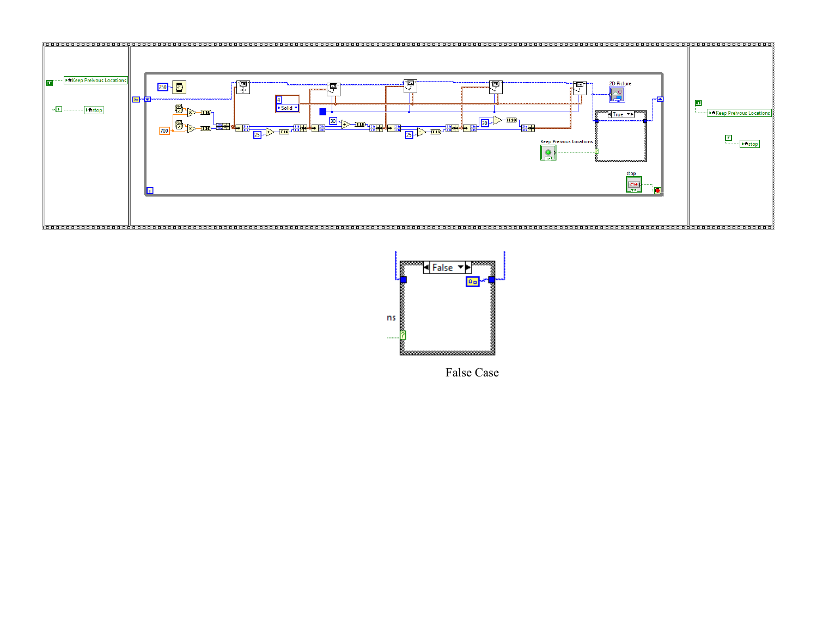



False Case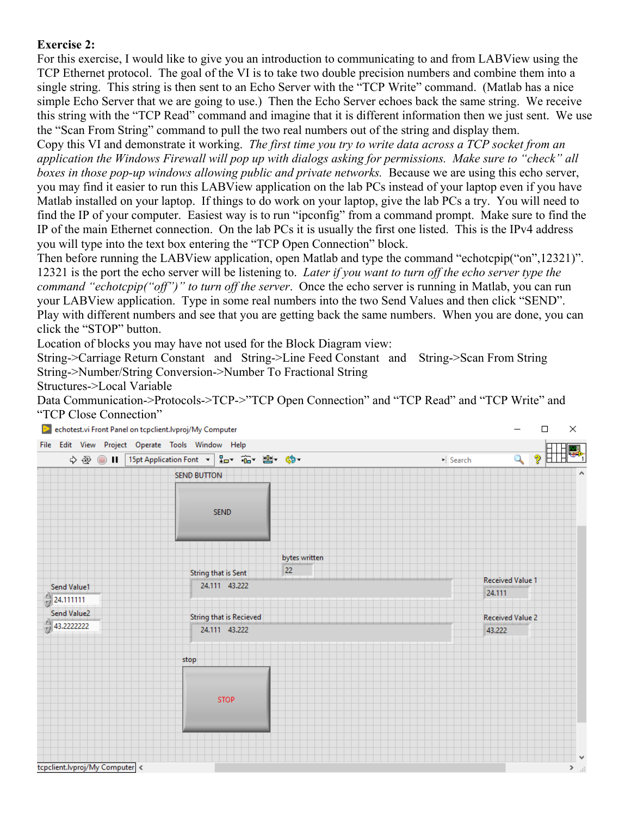# **Exercise 2:**

For this exercise, I would like to give you an introduction to communicating to and from LABView using the TCP Ethernet protocol. The goal of the VI is to take two double precision numbers and combine them into a single string. This string is then sent to an Echo Server with the "TCP Write" command. (Matlab has a nice simple Echo Server that we are going to use.) Then the Echo Server echoes back the same string. We receive this string with the "TCP Read" command and imagine that it is different information then we just sent. We use the "Scan From String" command to pull the two real numbers out of the string and display them.

Copy this VI and demonstrate it working. *The first time you try to write data across a TCP socket from an application the Windows Firewall will pop up with dialogs asking for permissions. Make sure to "check" all boxes in those pop-up windows allowing public and private networks.* Because we are using this echo server, you may find it easier to run this LABView application on the lab PCs instead of your laptop even if you have Matlab installed on your laptop. If things to do work on your laptop, give the lab PCs a try. You will need to find the IP of your computer. Easiest way is to run "ipconfig" from a command prompt. Make sure to find the IP of the main Ethernet connection. On the lab PCs it is usually the first one listed. This is the IPv4 address you will type into the text box entering the "TCP Open Connection" block.

Then before running the LABView application, open Matlab and type the command "echotcpip("on",12321)". 12321 is the port the echo server will be listening to. *Later if you want to turn off the echo server type the command "echotcpip("off")" to turn off the server*. Once the echo server is running in Matlab, you can run your LABView application. Type in some real numbers into the two Send Values and then click "SEND". Play with different numbers and see that you are getting back the same numbers. When you are done, you can click the "STOP" button.

Location of blocks you may have not used for the Block Diagram view:

String->Carriage Return Constant and String->Line Feed Constant and String->Scan From String String->Number/String Conversion->Number To Fractional String

Structures->Local Variable

Data Communication->Protocols->TCP->"TCP Open Connection" and "TCP Read" and "TCP Write" and "TCP Close Connection"